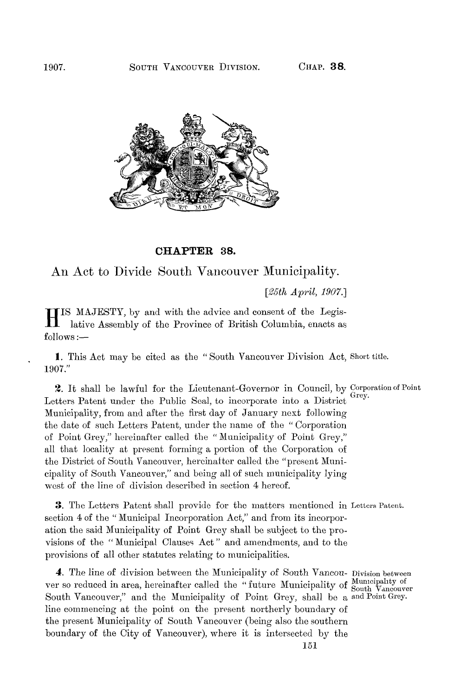

## **CHAPTER 38.**

# An Act to Divide South Vancouver Municipality.

*[!85th April, 1907.]* 

H IS MAJESTY, by and with the advice and consent of the Legislative Assembly of the Province of British Columbia, enacts as follows :—

1. This Act may be cited as the " South Vancouver Division Act, Short title. 1907."

2. It shall be lawful for the Lieutenant-Governor in Council, by Corporation of Point Letters Patent under the Public Seal, to incorporate into a District Municipality, from and after the first day of January next following the date of such Letters Patent, under the name of the " Corporation of Point Grey," hereinafter called the " Municipality of Point Grey," all that locality at present forming a portion of the Corporation of the District of South Vancouver, hereinafter called the "present Municipality of South Vancouver," and being all of such municipality lying west of the line of division described in section 4 hereof.

*3.* The Letters Patent shall provide for the matters mentioned in Letters Patent, section 4 of the " Municipal Incorporation Act," and from its incorporation the said Municipality of Point Grey shall be subject to the provisions of the " Municipal Clauses Act " and amendments, and to the provisions of all other statutes relating to municipalities.

4. The line of division between the Municipality of South Vancou- Division between ver so reduced in area, hereinafter called the "future Municipality of South Vancouver South Vancouver," and the Municipality of Point Grey, shall be a and Point Grey. line commencing at the point on the present northerly boundary of the present Municipality of South Vancouver (being also the southern boundary of the City of Vancouver), where it is intersected by the

151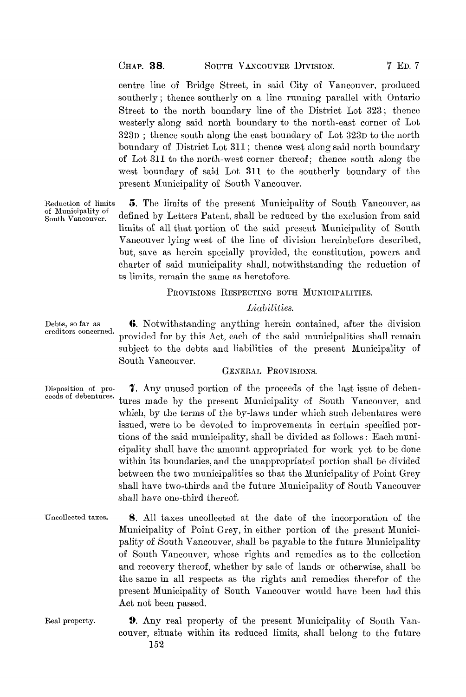centre line of Bridge Street, in said City of Vancouver, produced southerly; thence southerly on a line running parallel with Ontario Street to the north boundary line of the District Lot 323 ; thence westerly along said north boundary to the north-east corner of Lot 323D; thence south along the east boundary of Lot 323D to the north boundary of District Lot 311 ; thence west along said north boundary of Lot 311 to the north-west corner thereof; thence south along the west boundary of said Lot 311 to the southerly boundary of the present Municipality of South Vancouver.

Reduction of limits  $\overline{5}$ . The limits of the present Municipality of South Vancouver, as of Municipality of  $\overline{3}$  of  $\overline{5}$  and  $\overline{1}$  of the  $\overline{1}$  of the probability of the probability from and or municipality of defined by Letters Patent, shall be reduced by the exclusion from said limits of all that portion of the said present Municipality of South Vancouver lying west of the line of division hereinbefore described, but, save as herein specially provided, the constitution, powers and charter of said municipality shall, notwithstanding the reduction of ts limits, remain the same as heretofore.

### PROVISIONS RESPECTING BOTH MUNICIPALITIES.

#### *Liabilities.*

Debts, so far as **6.** Notwithstanding anything herein contained, after the division creditors concerned. provided for by this Act, each of the said municipalities shall remain subject to the debts and liabilities of the present Municipality of South Vancouver.

## GENERAL PROVISIONS.

- Disposition of pro-<br>ceeds of debentures.<br> $\frac{1}{2}$ , Any unused portion of the proceeds of the last issue of deben-<br>ceeds of debentures. tures made by the present Municipality of South Vancouver, and which, by the terms of the by-laws under which such debentures were issued, were to be devoted to improvements in certain specified portions of the said municipality, shall be divided as follows: Each municipality shall have the amount appropriated for work yet to be done within its boundaries, and the unappropriated portion shall be divided between the two municipalities so that the Municipality of Point Grey shall have two-thirds and the future Municipality of South Vancouver shall have two-thirds and the future Municipality of South Vancouver shall have one and thereof.
- Uncollected taxes. 8. All taxes uncollected at the date of the incorporation of the Municipality of Point Grey, in either portion of the present Municipality of South Vancouver, shall be payable to the future Municipality of South Vancouver, whose rights and remedies as to the collection and recovery thereof, whether by sale of lands or otherwise, shall be the same in all respects as the rights and remedies therefor of the present Municipality of South Vancouver would have been had this Act not been passed.
- Real property. 9. Any real property of the present Municipality of South Vancouver, situate within its reduced limits, shall belong to the future 152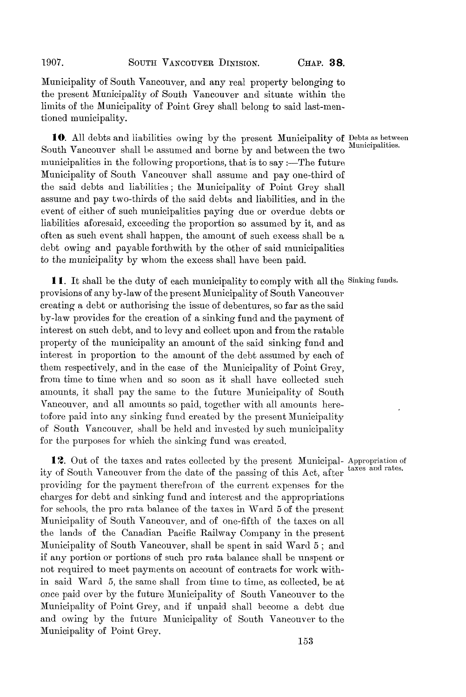Municipality of South Vancouver, and any real property belonging to the present Municipality of South Vancouver and situate within the limits of the Municipality of Point Grey shall belong to said last-mentioned municipality.

10. All debts and liabilities owing by the present Municipality of Debts as between South Vancouver shall be assumed and borne by and between the two municipalities in the following proportions, that is to say :—The future Municipality of South Vancouver shall assume and pay one-third of the said debts and liabilities ; the Municipality of Point Grey shall assume and pay two-thirds of the said debts and liabilities, and in the event of either of such municipalities paying due or overdue debts or liabilities aforesaid, exceeding the proportion so assumed by it, and as often as such event shall happen, the amount of such excess shall be a debt owing and payable forthwith by the other of said municipalities to the municipality by whom the excess shall have been paid.

11. It shall be the duty of each municipality to comply with all the Sinking funds. provisions of any by-law of the present Municipality of South Vancouver creating a debt or authorising the issue of debentures, so far as the said by-law provides for the creation of a sinking fund and the payment of interest on such debt, and to levy and collect upon and from the ratable property of the municipality an amount of the said sinking fund and interest in proportion to the amount of the debt assumed by each of them respectively, and in the case of the Municipality of Point Grey, from time to time when and so soon as it shall have collected such amounts, it shall pay the same to the future Municipality of South Vancouver, and all amounts so paid, together with all amounts heretofore paid into any sinking fund created by the present Municipality of South Vancouver, shall be held and invested by such municipality for the purposes for which the sinking fund was created.

**12.** Out of the taxes and rates collected by the present Municipal-Appropriation of ity of South Vancouver from the date of the passing of this Act, after providing for the payment therefrom of the current expenses for the charges for debt and sinking fund and interest and the appropriations for schools, the pro rata balance of the taxes in Ward 5 of the present Municipality of South Vancouver, and of one-fifth of the taxes on all the lands of the Canadian Pacific Railway Company in the present Municipality of South Vancouver, shall be spent in said Ward 5 ; and if any portion or portions of such pro rata balance shall be unspent or not required to meet payments on account of contracts for work within said Ward 5, the same shall from time to time, as collected, be at once paid over by the future Municipality of South Vancouver to the Municipality of Point Grey, and if unpaid shall become a debt due and owing by the future Municipality of South Vancouver to the Municipality of Point Grey.

unicipa.<br>.

taxes and rates.